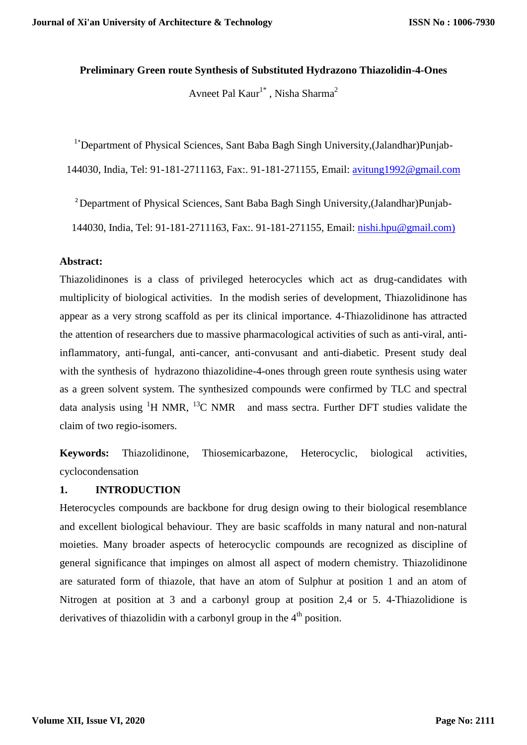### **Preliminary Green route Synthesis of Substituted Hydrazono Thiazolidin-4-Ones**

Avneet Pal Kaur<sup>1\*</sup>, Nisha Sharma<sup>2</sup>

<sup>1</sup>\*Department of Physical Sciences, Sant Baba Bagh Singh University, (Jalandhar) Punjab-

144030, India, Tel: 91-181-2711163, Fax:. 91-181-271155, Email: [avitung1992@gmail.com](mailto:avitung1992@gmail.com)

2 Department of Physical Sciences, Sant Baba Bagh Singh University,(Jalandhar)Punjab-

144030, India, Tel: 91-181-2711163, Fax:. 91-181-271155, Email: [nishi.hpu@gmail.com\)](mailto:nishi.hpu@gmail.com)

#### **Abstract:**

Thiazolidinones is a class of privileged heterocycles which act as drug-candidates with multiplicity of biological activities. In the modish series of development, Thiazolidinone has appear as a very strong scaffold as per its clinical importance. 4-Thiazolidinone has attracted the attention of researchers due to massive pharmacological activities of such as anti-viral, antiinflammatory, anti-fungal, anti-cancer, anti-convusant and anti-diabetic. Present study deal with the synthesis of hydrazono thiazolidine-4-ones through green route synthesis using water as a green solvent system. The synthesized compounds were confirmed by TLC and spectral data analysis using  ${}^{1}H$  NMR,  ${}^{13}C$  NMR and mass sectra. Further DFT studies validate the claim of two regio-isomers.

**Keywords:** Thiazolidinone, Thiosemicarbazone, Heterocyclic, biological activities, cyclocondensation

## **1. INTRODUCTION**

Heterocycles compounds are backbone for drug design owing to their biological resemblance and excellent biological behaviour. They are basic scaffolds in many natural and non-natural moieties. Many broader aspects of heterocyclic compounds are recognized as discipline of general significance that impinges on almost all aspect of modern chemistry. Thiazolidinone are saturated form of thiazole, that have an atom of Sulphur at position 1 and an atom of Nitrogen at position at 3 and a carbonyl group at position 2,4 or 5. 4-Thiazolidione is derivatives of thiazolidin with a carbonyl group in the  $4<sup>th</sup>$  position.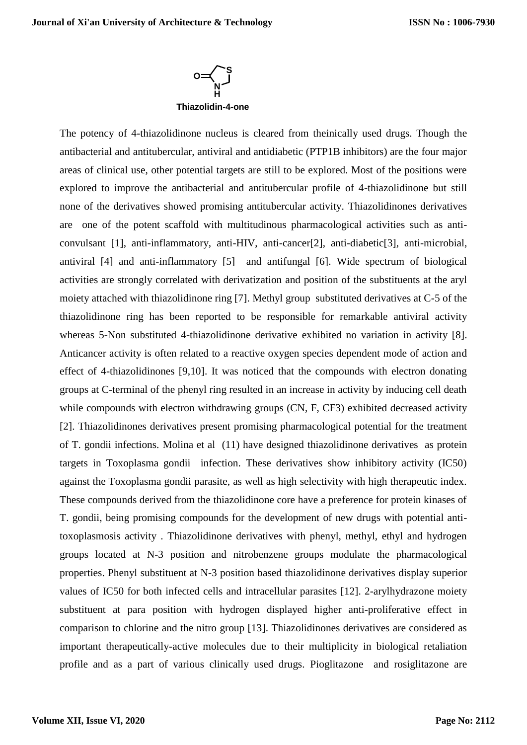

The potency of 4-thiazolidinone nucleus is cleared from theinically used drugs. Though the antibacterial and antitubercular, antiviral and antidiabetic (PTP1B inhibitors) are the four major areas of clinical use, other potential targets are still to be explored. Most of the positions were explored to improve the antibacterial and antitubercular profile of 4-thiazolidinone but still none of the derivatives showed promising antitubercular activity. Thiazolidinones derivatives are one of the potent scaffold with multitudinous pharmacological activities such as anticonvulsant [1], anti-inflammatory, anti-HIV, anti-cancer[2], anti-diabetic[3], anti-microbial, antiviral [4] and anti-inflammatory [5] and antifungal [6]. Wide spectrum of biological activities are strongly correlated with derivatization and position of the substituents at the aryl moiety attached with thiazolidinone ring [7]. Methyl group substituted derivatives at C-5 of the thiazolidinone ring has been reported to be responsible for remarkable antiviral activity whereas 5-Non substituted 4-thiazolidinone derivative exhibited no variation in activity [8]. Anticancer activity is often related to a reactive oxygen species dependent mode of action and effect of 4-thiazolidinones [9,10]. It was noticed that the compounds with electron donating groups at C-terminal of the phenyl ring resulted in an increase in activity by inducing cell death while compounds with electron withdrawing groups (CN, F, CF3) exhibited decreased activity [2]. Thiazolidinones derivatives present promising pharmacological potential for the treatment of T. gondii infections. Molina et al (11) have designed thiazolidinone derivatives as protein targets in Toxoplasma gondii infection. These derivatives show inhibitory activity (IC50) against the Toxoplasma gondii parasite, as well as high selectivity with high therapeutic index. These compounds derived from the thiazolidinone core have a preference for protein kinases of T. gondii, being promising compounds for the development of new drugs with potential antitoxoplasmosis activity . Thiazolidinone derivatives with phenyl, methyl, ethyl and hydrogen groups located at N-3 position and nitrobenzene groups modulate the pharmacological properties. Phenyl substituent at N-3 position based thiazolidinone derivatives display superior values of IC50 for both infected cells and intracellular parasites [12]. 2-arylhydrazone moiety substituent at para position with hydrogen displayed higher anti-proliferative effect in comparison to chlorine and the nitro group [13]. Thiazolidinones derivatives are considered as important therapeutically-active molecules due to their multiplicity in biological retaliation profile and as a part of various clinically used drugs. Pioglitazone and rosiglitazone are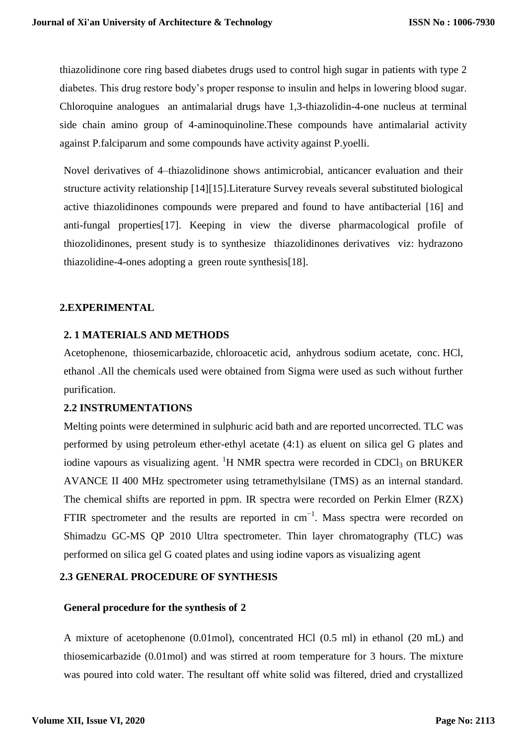thiazolidinone core ring based diabetes drugs used to control high sugar in patients with type 2 diabetes. This drug restore body's proper response to insulin and helps in lowering blood sugar. Chloroquine analogues an antimalarial drugs have 1,3-thiazolidin-4-one nucleus at terminal side chain amino group of 4-aminoquinoline.These compounds have antimalarial activity against P.falciparum and some compounds have activity against P.yoelli.

Novel derivatives of 4–thiazolidinone shows antimicrobial, anticancer evaluation and their structure activity relationship [14][15].Literature Survey reveals several substituted biological active thiazolidinones compounds were prepared and found to have antibacterial [16] and anti-fungal properties[17]. Keeping in view the diverse pharmacological profile of thiozolidinones, present study is to synthesize thiazolidinones derivatives viz: hydrazono thiazolidine-4-ones adopting a green route synthesis[18].

## **2.EXPERIMENTAL**

## **2. 1 MATERIALS AND METHODS**

Acetophenone, thiosemicarbazide, chloroacetic acid, anhydrous sodium acetate, conc. HCl, ethanol .All the chemicals used were obtained from Sigma were used as such without further purification.

#### **2.2 INSTRUMENTATIONS**

Melting points were determined in sulphuric acid bath and are reported uncorrected. TLC was performed by using petroleum ether-ethyl acetate (4:1) as eluent on silica gel G plates and iodine vapours as visualizing agent. <sup>1</sup>H NMR spectra were recorded in CDCl<sub>3</sub> on BRUKER AVANCE II 400 MHz spectrometer using tetramethylsilane (TMS) as an internal standard. The chemical shifts are reported in ppm. IR spectra were recorded on Perkin Elmer (RZX) FTIR spectrometer and the results are reported in  $cm^{-1}$ . Mass spectra were recorded on Shimadzu GC-MS QP 2010 Ultra spectrometer. Thin layer chromatography (TLC) was performed on silica gel G coated plates and using iodine vapors as visualizing agent

# **2.3 GENERAL PROCEDURE OF SYNTHESIS**

#### **General procedure for the synthesis of 2**

A mixture of acetophenone (0.01mol), concentrated HCl (0.5 ml) in ethanol (20 mL) and thiosemicarbazide (0.01mol) and was stirred at room temperature for 3 hours. The mixture was poured into cold water. The resultant off white solid was filtered, dried and crystallized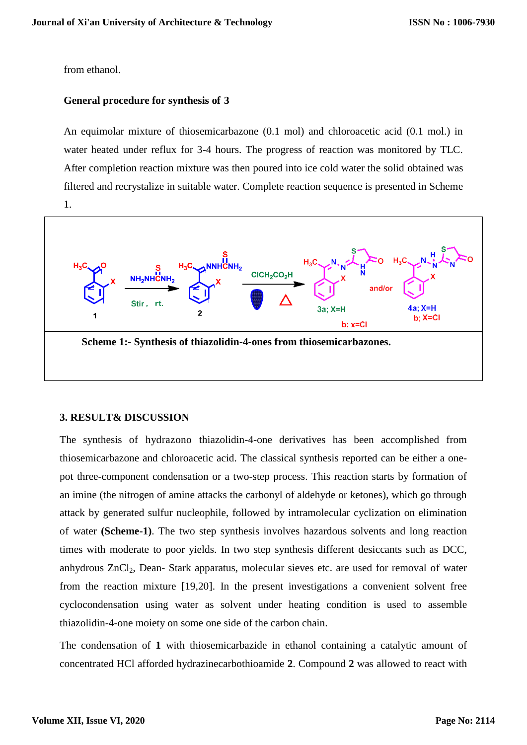#### from ethanol.

#### **General procedure for synthesis of 3**

An equimolar mixture of thiosemicarbazone (0.1 mol) and chloroacetic acid (0.1 mol.) in water heated under reflux for 3-4 hours. The progress of reaction was monitored by TLC. After completion reaction mixture was then poured into ice cold water the solid obtained was filtered and recrystalize in suitable water. Complete reaction sequence is presented in Scheme 1.



#### **3. RESULT& DISCUSSION**

The synthesis of hydrazono thiazolidin-4-one derivatives has been accomplished from thiosemicarbazone and chloroacetic acid. The classical synthesis reported can be either a onepot three-component condensation or a two-step process. This reaction starts by formation of an imine (the nitrogen of amine attacks the carbonyl of aldehyde or ketones), which go through attack by generated sulfur nucleophile, followed by intramolecular cyclization on elimination of water **(Scheme-1)**. The two step synthesis involves hazardous solvents and long reaction times with moderate to poor yields. In two step synthesis different desiccants such as DCC, anhydrous ZnCl<sub>2</sub>, Dean- Stark apparatus, molecular sieves etc. are used for removal of water from the reaction mixture [19,20]. In the present investigations a convenient solvent free cyclocondensation using water as solvent under heating condition is used to assemble thiazolidin-4-one moiety on some one side of the carbon chain.

The condensation of **1** with thiosemicarbazide in ethanol containing a catalytic amount of concentrated HCl afforded hydrazinecarbothioamide **2**. Compound **2** was allowed to react with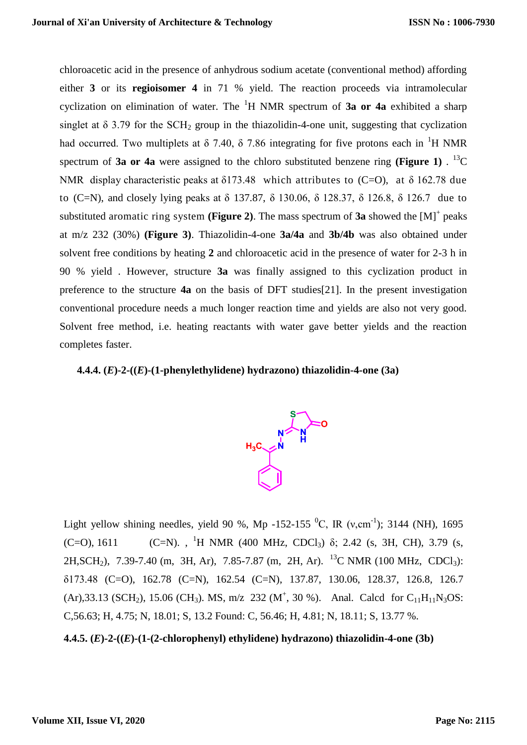chloroacetic acid in the presence of anhydrous sodium acetate (conventional method) affording either **3** or its **regioisomer 4** in 71 % yield. The reaction proceeds via intramolecular cyclization on elimination of water. The <sup>1</sup>H NMR spectrum of **3a or 4a** exhibited a sharp singlet at  $\delta$  3.79 for the SCH<sub>2</sub> group in the thiazolidin-4-one unit, suggesting that cyclization had occurred. Two multiplets at  $\delta$  7.40,  $\delta$  7.86 integrating for five protons each in <sup>1</sup>H NMR spectrum of **3a or 4a** were assigned to the chloro substituted benzene ring (**Figure 1**)  $\cdot$  <sup>13</sup>C NMR display characteristic peaks at  $\delta$ 173.48 which attributes to (C=O), at  $\delta$  162.78 due to (C=N), and closely lying peaks at δ 137.87, δ 130.06, δ 128.37, δ 126.8, δ 126.7 due to substituted aromatic ring system (Figure 2). The mass spectrum of  $3a$  showed the  $[M]^+$  peaks at m/z 232 (30%) **(Figure 3)**. Thiazolidin-4-one **3a/4a** and **3b/4b** was also obtained under solvent free conditions by heating **2** and chloroacetic acid in the presence of water for 2-3 h in 90 % yield . However, structure **3a** was finally assigned to this cyclization product in preference to the structure **4a** on the basis of DFT studies[21]. In the present investigation conventional procedure needs a much longer reaction time and yields are also not very good. Solvent free method, i.e. heating reactants with water gave better yields and the reaction completes faster.

#### **4.4.4. (***E***)-2-((***E***)-(1-phenylethylidene) hydrazono) thiazolidin-4-one (3a)**



Light yellow shining needles, yield 90 %, Mp -152-155  $^{0}C$ , IR (v,cm<sup>-1</sup>); 3144 (NH), 1695  $(C=0)$ , 1611 (C=N)., <sup>1</sup>H NMR (400 MHz, CDCl<sub>3</sub>)  $\delta$ ; 2.42 (s, 3H, CH), 3.79 (s, 2H, SCH<sub>2</sub>), 7.39-7.40 (m, 3H, Ar), 7.85-7.87 (m, 2H, Ar). <sup>13</sup>C NMR (100 MHz, CDCl<sub>3</sub>): δ173.48 (C=O), 162.78 (C=N), 162.54 (C=N), 137.87, 130.06, 128.37, 126.8, 126.7  $(Ar)$ ,33.13 (SCH<sub>2</sub>), 15.06 (CH<sub>3</sub>). MS, m/z 232 (M<sup>+</sup>, 30 %). Anal. Calcd for C<sub>11</sub>H<sub>11</sub>N<sub>3</sub>OS: C,56.63; H, 4.75; N, 18.01; S, 13.2 Found: C, 56.46; H, 4.81; N, 18.11; S, 13.77 %.

**4.4.5. (***E***)-2-((***E***)-(1-(2-chlorophenyl) ethylidene) hydrazono) thiazolidin-4-one (3b)**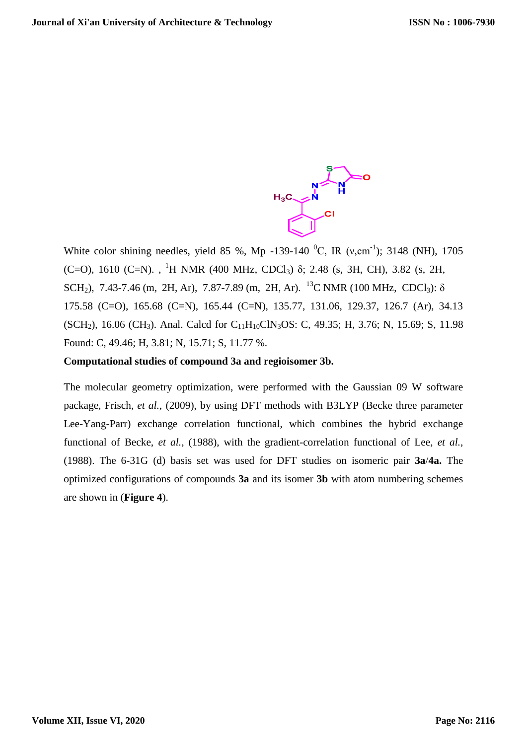

White color shining needles, yield 85 %, Mp -139-140  $^{0}C$ , IR (v,cm<sup>-1</sup>); 3148 (NH), 1705 (C=O), 1610 (C=N)., <sup>1</sup>H NMR (400 MHz, CDCl<sub>3</sub>)  $\delta$ ; 2.48 (s, 3H, CH), 3.82 (s, 2H, SCH<sub>2</sub>), 7.43-7.46 (m, 2H, Ar), 7.87-7.89 (m, 2H, Ar). <sup>13</sup>C NMR (100 MHz, CDCl<sub>3</sub>):  $\delta$ 175.58 (C=O), 165.68 (C=N), 165.44 (C=N), 135.77, 131.06, 129.37, 126.7 (Ar), 34.13 (SCH<sub>2</sub>), 16.06 (CH<sub>3</sub>). Anal. Calcd for C<sub>11</sub>H<sub>10</sub>ClN<sub>3</sub>OS: C, 49.35; H, 3.76; N, 15.69; S, 11.98 Found: C, 49.46; H, 3.81; N, 15.71; S, 11.77 %.

## **Computational studies of compound 3a and regioisomer 3b.**

The molecular geometry optimization, were performed with the Gaussian 09 W software package, Frisch, *et al.*, (2009), by using DFT methods with B3LYP (Becke three parameter Lee-Yang-Parr) exchange correlation functional, which combines the hybrid exchange functional of Becke, *et al.*, (1988), with the gradient-correlation functional of Lee, *et al.*, (1988). The 6-31G (d) basis set was used for DFT studies on isomeric pair **3a**/**4a.** The optimized configurations of compounds **3a** and its isomer **3b** with atom numbering schemes are shown in (**Figure 4**).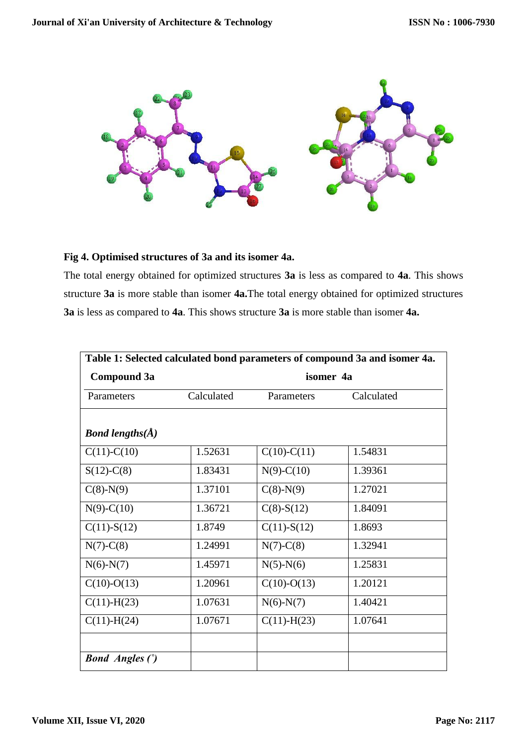

# **Fig 4. Optimised structures of 3a and its isomer 4a.**

The total energy obtained for optimized structures **3a** is less as compared to **4a**. This shows structure **3a** is more stable than isomer **4a.**The total energy obtained for optimized structures **3a** is less as compared to **4a**. This shows structure **3a** is more stable than isomer **4a.**

| Table 1: Selected calculated bond parameters of compound 3a and isomer 4a. |            |                   |            |  |  |
|----------------------------------------------------------------------------|------------|-------------------|------------|--|--|
| Compound 3a                                                                | isomer 4a  |                   |            |  |  |
| Parameters                                                                 | Calculated | Parameters        | Calculated |  |  |
|                                                                            |            |                   |            |  |  |
| <b>Bond lengths(<math>\AA</math>)</b>                                      |            |                   |            |  |  |
| $C(11)-C(10)$                                                              | 1.52631    | $C(10)-C(11)$     | 1.54831    |  |  |
| $S(12)-C(8)$                                                               | 1.83431    | $N(9)-C(10)$      | 1.39361    |  |  |
| $C(8)-N(9)$                                                                | 1.37101    | $C(8)-N(9)$       | 1.27021    |  |  |
| $N(9)-C(10)$                                                               | 1.36721    | $C(8)$ -S(12)     | 1.84091    |  |  |
| $C(11) - S(12)$                                                            | 1.8749     | $C(11) - S(12)$   | 1.8693     |  |  |
| $N(7)-C(8)$                                                                | 1.24991    | $N(7)-C(8)$       | 1.32941    |  |  |
| $N(6)-N(7)$                                                                | 1.45971    | $N(5)-N(6)$       | 1.25831    |  |  |
| $C(10)-O(13)$                                                              | 1.20961    | $C(10)-O(13)$     | 1.20121    |  |  |
| $C(11) - H(23)$                                                            | 1.07631    | $N(6)-N(7)$       | 1.40421    |  |  |
| $C(11) - H(24)$                                                            | 1.07671    | $C(11)$ -H $(23)$ | 1.07641    |  |  |
|                                                                            |            |                   |            |  |  |
| <b>Bond Angles (°)</b>                                                     |            |                   |            |  |  |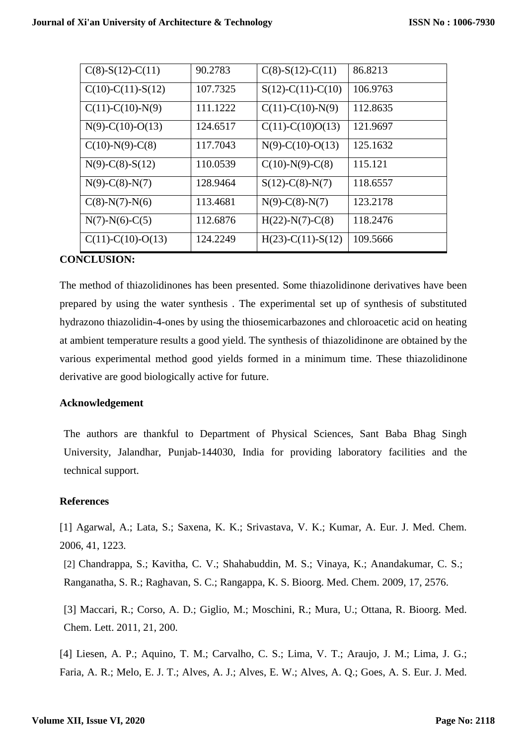| $C(8)$ -S(12)-C(11) | 90.2783  | $C(8)$ -S(12)-C(11) | 86.8213  |
|---------------------|----------|---------------------|----------|
| $C(10)-C(11)-S(12)$ | 107.7325 | $S(12)-C(11)-C(10)$ | 106.9763 |
| $C(11)-C(10)-N(9)$  | 111.1222 | $C(11)-C(10)-N(9)$  | 112.8635 |
| $N(9)$ -C(10)-O(13) | 124.6517 | $C(11)-C(10)O(13)$  | 121.9697 |
| $C(10)-N(9)-C(8)$   | 117.7043 | $N(9)$ -C(10)-O(13) | 125.1632 |
| $N(9)-C(8)-S(12)$   | 110.0539 | $C(10)-N(9)-C(8)$   | 115.121  |
| $N(9)$ -C(8)-N(7)   | 128.9464 | $S(12)-C(8)-N(7)$   | 118.6557 |
| $C(8)-N(7)-N(6)$    | 113.4681 | $N(9)$ -C(8)-N(7)   | 123.2178 |
| $N(7)-N(6)-C(5)$    | 112.6876 | $H(22)-N(7)-C(8)$   | 118.2476 |
| $C(11)-C(10)-O(13)$ | 124.2249 | $H(23)-C(11)-S(12)$ | 109.5666 |

## **CONCLUSION:**

The method of thiazolidinones has been presented. Some thiazolidinone derivatives have been prepared by using the water synthesis . The experimental set up of synthesis of substituted hydrazono thiazolidin-4-ones by using the thiosemicarbazones and chloroacetic acid on heating at ambient temperature results a good yield. The synthesis of thiazolidinone are obtained by the various experimental method good yields formed in a minimum time. These thiazolidinone derivative are good biologically active for future.

## **Acknowledgement**

The authors are thankful to Department of Physical Sciences, Sant Baba Bhag Singh University, Jalandhar, Punjab-144030, India for providing laboratory facilities and the technical support.

## **References**

[1] Agarwal, A.; Lata, S.; Saxena, K. K.; Srivastava, V. K.; Kumar, A. Eur. J. Med. Chem. 2006, 41, 1223.

[2] Chandrappa, S.; Kavitha, C. V.; Shahabuddin, M. S.; Vinaya, K.; Anandakumar, C. S.; Ranganatha, S. R.; Raghavan, S. C.; Rangappa, K. S. Bioorg. Med. Chem. 2009, 17, 2576.

[3] Maccari, R.; Corso, A. D.; Giglio, M.; Moschini, R.; Mura, U.; Ottana, R. Bioorg. Med. Chem. Lett. 2011, 21, 200.

[4] Liesen, A. P.; Aquino, T. M.; Carvalho, C. S.; Lima, V. T.; Araujo, J. M.; Lima, J. G.; Faria, A. R.; Melo, E. J. T.; Alves, A. J.; Alves, E. W.; Alves, A. Q.; Goes, A. S. Eur. J. Med.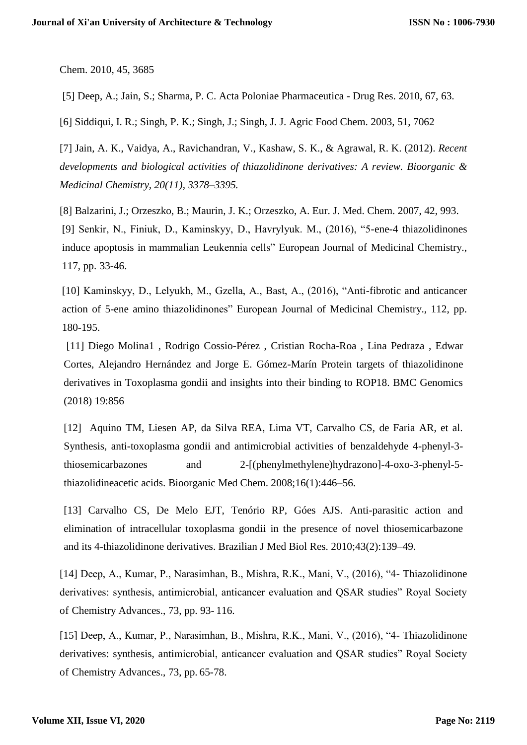Chem. 2010, 45, 3685

[5] Deep, A.; Jain, S.; Sharma, P. C. Acta Poloniae Pharmaceutica - Drug Res. 2010, 67, 63.

[6] Siddiqui, I. R.; Singh, P. K.; Singh, J.; Singh, J. J. Agric Food Chem. 2003, 51, 7062

[7] Jain, A. K., Vaidya, A., Ravichandran, V., Kashaw, S. K., & Agrawal, R. K. (2012). *Recent developments and biological activities of thiazolidinone derivatives: A review. Bioorganic & Medicinal Chemistry, 20(11), 3378–3395.*

[8] Balzarini, J.; Orzeszko, B.; Maurin, J. K.; Orzeszko, A. Eur. J. Med. Chem. 2007, 42, 993. [9] Senkir, N., Finiuk, D., Kaminskyy, D., Havrylyuk. M., (2016), "5-ene-4 thiazolidinones induce apoptosis in mammalian Leukennia cells" European Journal of Medicinal Chemistry., 117, pp. 33-46.

[10] Kaminskyy, D., Lelyukh, M., Gzella, A., Bast, A., (2016), "Anti-fibrotic and anticancer action of 5-ene amino thiazolidinones" European Journal of Medicinal Chemistry., 112, pp. 180-195.

[11] Diego Molina1 , Rodrigo Cossio-Pérez , Cristian Rocha-Roa , Lina Pedraza , Edwar Cortes, Alejandro Hernández and Jorge E. Gómez-Marín Protein targets of thiazolidinone derivatives in Toxoplasma gondii and insights into their binding to ROP18. BMC Genomics (2018) 19:856

[12] Aquino TM, Liesen AP, da Silva REA, Lima VT, Carvalho CS, de Faria AR, et al. Synthesis, anti-toxoplasma gondii and antimicrobial activities of benzaldehyde 4-phenyl-3 thiosemicarbazones and 2-[(phenylmethylene)hydrazono]-4-oxo-3-phenyl-5 thiazolidineacetic acids. Bioorganic Med Chem. 2008;16(1):446–56.

[13] Carvalho CS, De Melo EJT, Tenório RP, Góes AJS. Anti-parasitic action and elimination of intracellular toxoplasma gondii in the presence of novel thiosemicarbazone and its 4-thiazolidinone derivatives. Brazilian J Med Biol Res. 2010;43(2):139–49.

[14] Deep, A., Kumar, P., Narasimhan, B., Mishra, R.K., Mani, V., (2016), "4- Thiazolidinone derivatives: synthesis, antimicrobial, anticancer evaluation and QSAR studies" Royal Society of Chemistry Advances., 73, pp. 93- 116.

[15] Deep, A., Kumar, P., Narasimhan, B., Mishra, R.K., Mani, V., (2016), "4- Thiazolidinone derivatives: synthesis, antimicrobial, anticancer evaluation and QSAR studies" Royal Society of Chemistry Advances., 73, pp. 65-78.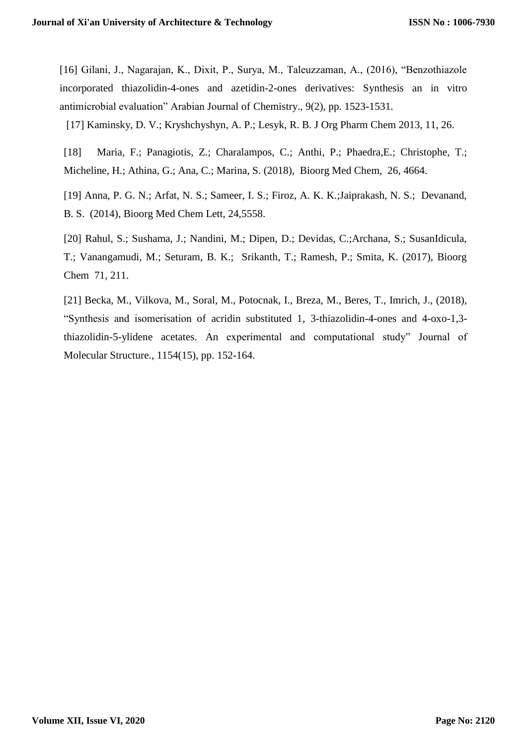[16] Gilani, J., Nagarajan, K., Dixit, P., Surya, M., Taleuzzaman, A., (2016), "Benzothiazole incorporated thiazolidin-4-ones and azetidin-2-ones derivatives: Synthesis an in vitro antimicrobial evaluation" Arabian Journal of Chemistry., 9(2), pp. 1523-1531.

[17] Kaminsky, D. V.; Kryshchyshyn, A. P.; Lesyk, R. B. J Org Pharm Chem 2013, 11, 26.

[18] Maria, F.; Panagiotis, Z.; Charalampos, C.; Anthi, P.; Phaedra,E.; Christophe, T.; Micheline, H.; Athina, G.; Ana, C.; Marina, S. (2018), Bioorg Med Chem, 26, 4664.

[19] Anna, P. G. N.; Arfat, N. S.; Sameer, I. S.; Firoz, A. K. K.;Jaiprakash, N. S.; Devanand, B. S. (2014), Bioorg Med Chem Lett, 24,5558.

[20] Rahul, S.; Sushama, J.; Nandini, M.; Dipen, D.; Devidas, C.;Archana, S.; SusanIdicula, T.; Vanangamudi, M.; Seturam, B. K.; Srikanth, T.; Ramesh, P.; Smita, K. (2017), Bioorg Chem 71, 211.

[21] Becka, M., Vilkova, M., Soral, M., Potocnak, I., Breza, M., Beres, T., Imrich, J., (2018), "Synthesis and isomerisation of acridin substituted 1, 3-thiazolidin-4-ones and 4-oxo-1,3 thiazolidin-5-ylidene acetates. An experimental and computational study" Journal of Molecular Structure., 1154(15), pp. 152-164.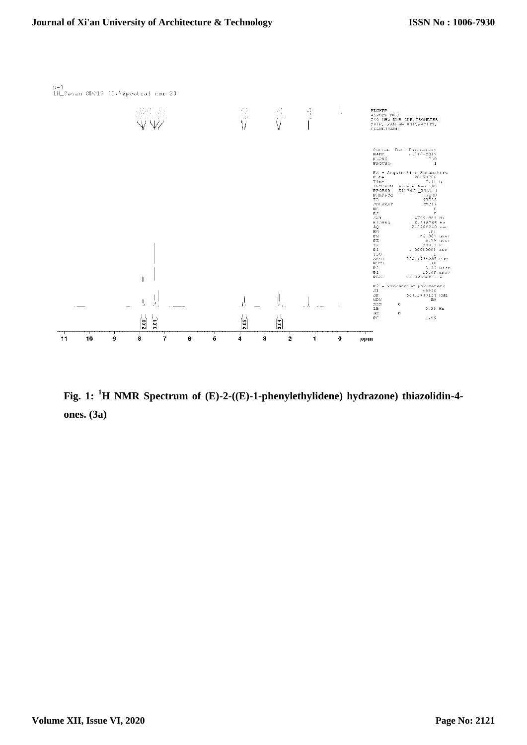

**Fig. 1: <sup>1</sup>H NMR Spectrum of (E)-2-((E)-1-phenylethylidene) hydrazone) thiazolidin-4 ones. (3a)**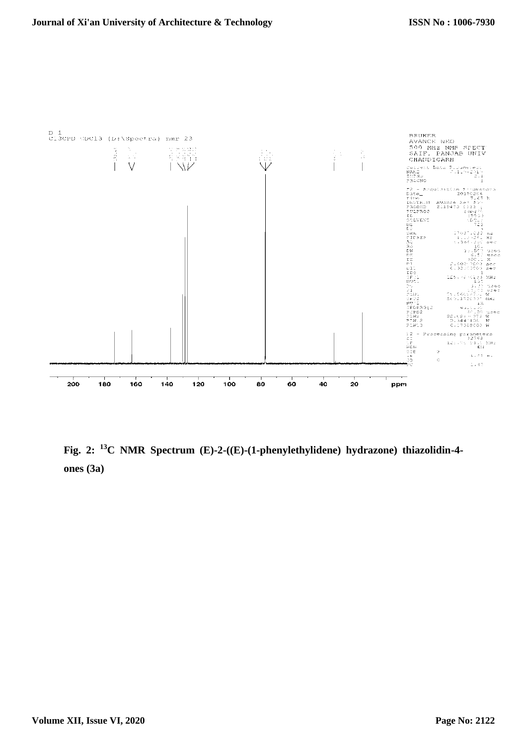

**Fig. 2: <sup>13</sup>C NMR Spectrum (E)-2-((E)-(1-phenylethylidene) hydrazone) thiazolidin-4 ones (3a)**